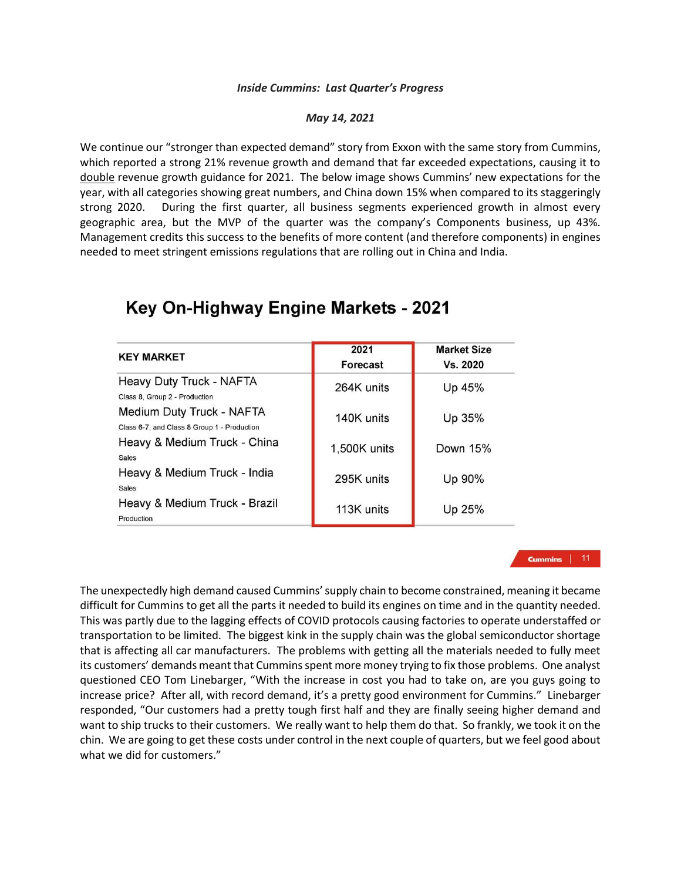## *Inside Cummins: Last Quarter's Progress*

## *May 14, 2021*

We continue our "stronger than expected demand" story from Exxon with the same story from Cummins, which reported a strong 21% revenue growth and demand that far exceeded expectations, causing it to double revenue growth guidance for 2021. The below image shows Cummins' new expectations for the year, with all categories showing great numbers, and China down 15% when compared to its staggeringly strong 2020. During the first quarter, all business segments experienced growth in almost every geographic area, but the MVP of the quarter was the company's Components business, up 43%. Management credits this success to the benefits of more content (and therefore components) in engines needed to meet stringent emissions regulations that are rolling out in China and India.

| <b>KEY MARKET</b>                                                        | 2021<br>Forecast | <b>Market Size</b><br>Vs. 2020 |
|--------------------------------------------------------------------------|------------------|--------------------------------|
| Heavy Duty Truck - NAFTA<br>Class 8, Group 2 - Production                | 264K units       | Up 45%                         |
| Medium Duty Truck - NAFTA<br>Class 6-7, and Class 8 Group 1 - Production | 140K units       | Up 35%                         |
| Heavy & Medium Truck - China<br><b>Sales</b>                             | 1,500K units     | Down 15%                       |
| Heavy & Medium Truck - India<br><b>Sales</b>                             | 295K units       | Up 90%                         |
| Heavy & Medium Truck - Brazil<br>Production                              | 113K units       | Up 25%                         |

## Key On-Highway Engine Markets - 2021

## **Cummins** | 11

The unexpectedly high demand caused Cummins' supply chain to become constrained, meaning it became difficult for Cummins to get all the parts it needed to build its engines on time and in the quantity needed. This was partly due to the lagging effects of COVID protocols causing factories to operate understaffed or transportation to be limited. The biggest kink in the supply chain was the global semiconductor shortage that is affecting all car manufacturers. The problems with getting all the materials needed to fully meet its customers' demands meant that Cummins spent more money trying to fix those problems. One analyst questioned CEO Tom Linebarger, "With the increase in cost you had to take on, are you guys going to increase price? After all, with record demand, it's a pretty good environment for Cummins." Linebarger responded, "Our customers had a pretty tough first half and they are finally seeing higher demand and want to ship trucks to their customers. We really want to help them do that. So frankly, we took it on the chin. We are going to get these costs under control in the next couple of quarters, but we feel good about what we did for customers."